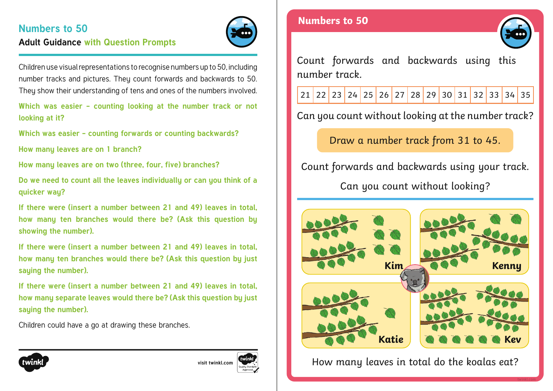# **Numbers to 50 Adult Guidance with Question Prompts**



Children use visual representations to recognise numbers up to 50, including number tracks and pictures. They count forwards and backwards to 50. They show their understanding of tens and ones of the numbers involved.

**Which was easier - counting looking at the number track or not looking at it?**

**Which was easier - counting forwards or counting backwards?**

**How many leaves are on 1 branch?**

**How many leaves are on two (three, four, five) branches?**

**Do we need to count all the leaves individually or can you think of a quicker way?**

**If there were (insert a number between 21 and 49) leaves in total, how many ten branches would there be? (Ask this question by showing the number).** 

**If there were (insert a number between 21 and 49) leaves in total, how many ten branches would there be? (Ask this question by just saying the number).**

**If there were (insert a number between 21 and 49) leaves in total, how many separate leaves would there be? (Ask this question by just saying the number).**

Children could have a go at drawing these branches.

### **Numbers to 50**



Count forwards and backwards using this number track.

21 22 23 24 25 26 27 28 29 30 31 32 33 34 35

Can you count without looking at the number track?

Draw a number track from 31 to 45.

Count forwards and backwards using your track.

Can you count without looking?



How many leaves in total do the koalas eat?



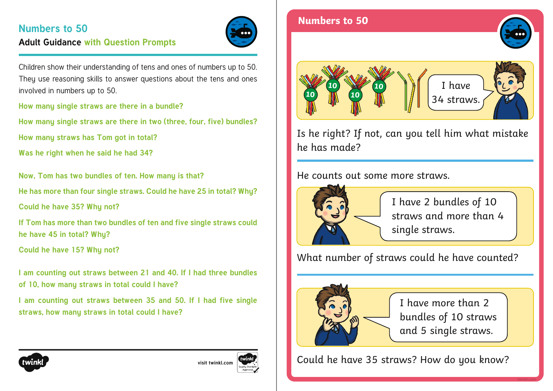# **Numbers to 50 Adult Guidance with Question Prompts**



Children show their understanding of tens and ones of numbers up to 50. They use reasoning skills to answer questions about the tens and ones involved in numbers up to 50.

**How many single straws are there in a bundle?**

**How many single straws are there in two (three, four, five) bundles?**

**How many straws has Tom got in total?**

**Was he right when he said he had 34?**

**Now, Tom has two bundles of ten. How many is that?**

**He has more than four single straws. Could he have 25 in total? Why?**

**Could he have 35? Why not?**

**If Tom has more than two bundles of ten and five single straws could he have 45 in total? Why?**

**Could he have 15? Why not?**

**I am counting out straws between 21 and 40. If I had three bundles of 10, how many straws in total could I have?**

**I am counting out straws between 35 and 50. If I had five single straws, how many straws in total could I have?**



**[visit twinkl.com](https://www.twinkl.co.uk/resources/white-rose-maths-resources/year-1-white-rose-maths-resources-key-stage-1-year-1-year-2/spring-block-2-place-value-within-50-year-1-white-rose-maths-supporting-resources-key-stage-1-year-1-year-2)**





Is he right? If not, can you tell him what mistake he has made? 34 straws. **<sup>10</sup> <sup>10</sup>**

### He counts out some more straws.



I have 2 bundles of 10 straws and more than 4 single straws.

What number of straws could he have counted?



I have more than 2 bundles of 10 straws and 5 single straws.

Could he have 35 straws? How do you know?